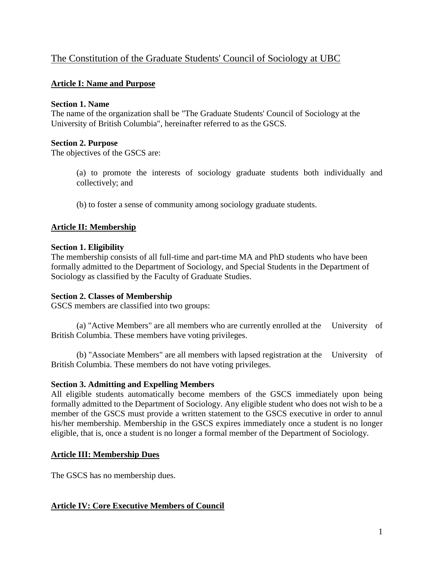# The Constitution of the Graduate Students' Council of Sociology at UBC

# **Article I: Name and Purpose**

### **Section 1. Name**

The name of the organization shall be "The Graduate Students' Council of Sociology at the University of British Columbia", hereinafter referred to as the GSCS.

### **Section 2. Purpose**

The objectives of the GSCS are:

(a) to promote the interests of sociology graduate students both individually and collectively; and

(b) to foster a sense of community among sociology graduate students.

## **Article II: Membership**

#### **Section 1. Eligibility**

The membership consists of all full-time and part-time MA and PhD students who have been formally admitted to the Department of Sociology, and Special Students in the Department of Sociology as classified by the Faculty of Graduate Studies.

#### **Section 2. Classes of Membership**

GSCS members are classified into two groups:

(a) "Active Members" are all members who are currently enrolled at the University of British Columbia. These members have voting privileges.

(b) "Associate Members" are all members with lapsed registration at the University of British Columbia. These members do not have voting privileges.

## **Section 3. Admitting and Expelling Members**

All eligible students automatically become members of the GSCS immediately upon being formally admitted to the Department of Sociology. Any eligible student who does not wish to be a member of the GSCS must provide a written statement to the GSCS executive in order to annul his/her membership. Membership in the GSCS expires immediately once a student is no longer eligible, that is, once a student is no longer a formal member of the Department of Sociology.

## **Article III: Membership Dues**

The GSCS has no membership dues.

## **Article IV: Core Executive Members of Council**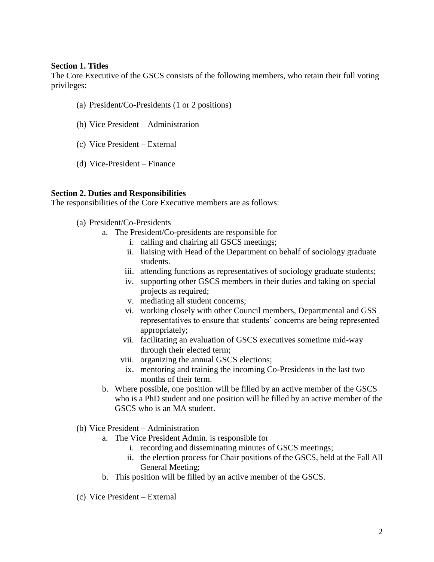#### **Section 1. Titles**

The Core Executive of the GSCS consists of the following members, who retain their full voting privileges:

- (a) President/Co-Presidents (1 or 2 positions)
- (b) Vice President Administration
- (c) Vice President External
- (d) Vice-President Finance

### **Section 2. Duties and Responsibilities**

The responsibilities of the Core Executive members are as follows:

- (a) President/Co-Presidents
	- a. The President/Co-presidents are responsible for
		- i. calling and chairing all GSCS meetings;
		- ii. liaising with Head of the Department on behalf of sociology graduate students.
		- iii. attending functions as representatives of sociology graduate students;
		- iv. supporting other GSCS members in their duties and taking on special projects as required;
		- v. mediating all student concerns;
		- vi. working closely with other Council members, Departmental and GSS representatives to ensure that students' concerns are being represented appropriately;
		- vii. facilitating an evaluation of GSCS executives sometime mid-way through their elected term;
		- viii. organizing the annual GSCS elections;
		- ix. mentoring and training the incoming Co-Presidents in the last two months of their term.
	- b. Where possible, one position will be filled by an active member of the GSCS who is a PhD student and one position will be filled by an active member of the GSCS who is an MA student.
- (b) Vice President Administration
	- a. The Vice President Admin. is responsible for
		- i. recording and disseminating minutes of GSCS meetings;
		- ii. the election process for Chair positions of the GSCS, held at the Fall All General Meeting;
	- b. This position will be filled by an active member of the GSCS.
- (c) Vice President External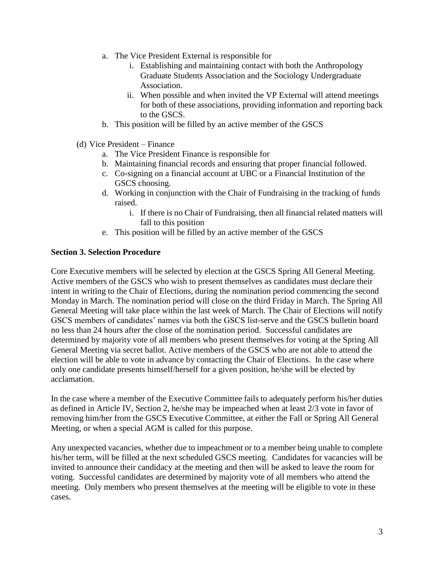- a. The Vice President External is responsible for
	- i. Establishing and maintaining contact with both the Anthropology Graduate Students Association and the Sociology Undergraduate Association.
	- ii. When possible and when invited the VP External will attend meetings for both of these associations, providing information and reporting back to the GSCS.
- b. This position will be filled by an active member of the GSCS
- (d) Vice President Finance
	- a. The Vice President Finance is responsible for
	- b. Maintaining financial records and ensuring that proper financial followed.
	- c. Co-signing on a financial account at UBC or a Financial Institution of the GSCS choosing.
	- d. Working in conjunction with the Chair of Fundraising in the tracking of funds raised.
		- i. If there is no Chair of Fundraising, then all financial related matters will fall to this position
	- e. This position will be filled by an active member of the GSCS

### **Section 3. Selection Procedure**

Core Executive members will be selected by election at the GSCS Spring All General Meeting. Active members of the GSCS who wish to present themselves as candidates must declare their intent in writing to the Chair of Elections, during the nomination period commencing the second Monday in March. The nomination period will close on the third Friday in March. The Spring All General Meeting will take place within the last week of March. The Chair of Elections will notify GSCS members of candidates' names via both the GSCS list-serve and the GSCS bulletin board no less than 24 hours after the close of the nomination period. Successful candidates are determined by majority vote of all members who present themselves for voting at the Spring All General Meeting via secret ballot. Active members of the GSCS who are not able to attend the election will be able to vote in advance by contacting the Chair of Elections. In the case where only one candidate presents himself/herself for a given position, he/she will be elected by acclamation.

In the case where a member of the Executive Committee fails to adequately perform his/her duties as defined in Article IV, Section 2, he/she may be impeached when at least 2/3 vote in favor of removing him/her from the GSCS Executive Committee, at either the Fall or Spring All General Meeting, or when a special AGM is called for this purpose.

Any unexpected vacancies, whether due to impeachment or to a member being unable to complete his/her term, will be filled at the next scheduled GSCS meeting. Candidates for vacancies will be invited to announce their candidacy at the meeting and then will be asked to leave the room for voting. Successful candidates are determined by majority vote of all members who attend the meeting. Only members who present themselves at the meeting will be eligible to vote in these cases.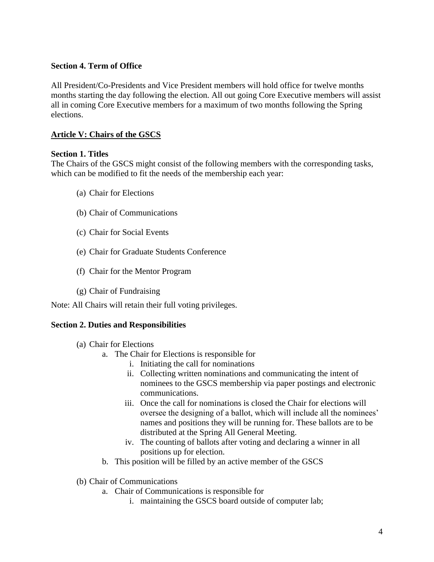### **Section 4. Term of Office**

All President/Co-Presidents and Vice President members will hold office for twelve months months starting the day following the election. All out going Core Executive members will assist all in coming Core Executive members for a maximum of two months following the Spring elections.

### **Article V: Chairs of the GSCS**

#### **Section 1. Titles**

The Chairs of the GSCS might consist of the following members with the corresponding tasks, which can be modified to fit the needs of the membership each year:

- (a) Chair for Elections
- (b) Chair of Communications
- (c) Chair for Social Events
- (e) Chair for Graduate Students Conference
- (f) Chair for the Mentor Program
- (g) Chair of Fundraising

Note: All Chairs will retain their full voting privileges.

#### **Section 2. Duties and Responsibilities**

- (a) Chair for Elections
	- a. The Chair for Elections is responsible for
		- i. Initiating the call for nominations
		- ii. Collecting written nominations and communicating the intent of nominees to the GSCS membership via paper postings and electronic communications.
		- iii. Once the call for nominations is closed the Chair for elections will oversee the designing of a ballot, which will include all the nominees' names and positions they will be running for. These ballots are to be distributed at the Spring All General Meeting.
		- iv. The counting of ballots after voting and declaring a winner in all positions up for election.
	- b. This position will be filled by an active member of the GSCS
- (b) Chair of Communications
	- a. Chair of Communications is responsible for
		- i. maintaining the GSCS board outside of computer lab;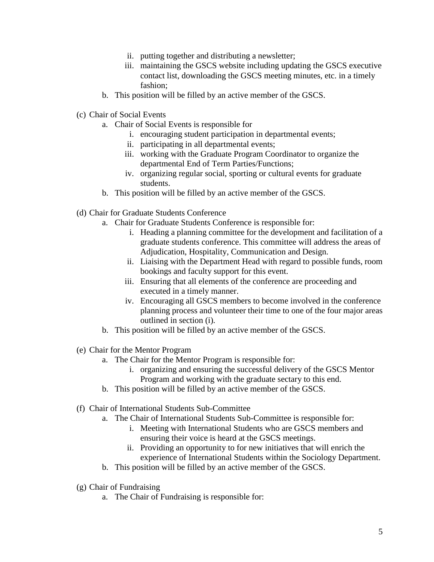- ii. putting together and distributing a newsletter;
- iii. maintaining the GSCS website including updating the GSCS executive contact list, downloading the GSCS meeting minutes, etc. in a timely fashion;
- b. This position will be filled by an active member of the GSCS.
- (c) Chair of Social Events
	- a. Chair of Social Events is responsible for
		- i. encouraging student participation in departmental events;
		- ii. participating in all departmental events;
		- iii. working with the Graduate Program Coordinator to organize the departmental End of Term Parties/Functions;
		- iv. organizing regular social, sporting or cultural events for graduate students.
	- b. This position will be filled by an active member of the GSCS.
- (d) Chair for Graduate Students Conference
	- a. Chair for Graduate Students Conference is responsible for:
		- i. Heading a planning committee for the development and facilitation of a graduate students conference. This committee will address the areas of Adjudication, Hospitality, Communication and Design.
		- ii. Liaising with the Department Head with regard to possible funds, room bookings and faculty support for this event.
		- iii. Ensuring that all elements of the conference are proceeding and executed in a timely manner.
		- iv. Encouraging all GSCS members to become involved in the conference planning process and volunteer their time to one of the four major areas outlined in section (i).
	- b. This position will be filled by an active member of the GSCS.
- (e) Chair for the Mentor Program
	- a. The Chair for the Mentor Program is responsible for:
		- i. organizing and ensuring the successful delivery of the GSCS Mentor Program and working with the graduate sectary to this end.
	- b. This position will be filled by an active member of the GSCS.
- (f) Chair of International Students Sub-Committee
	- a. The Chair of International Students Sub-Committee is responsible for:
		- i. Meeting with International Students who are GSCS members and ensuring their voice is heard at the GSCS meetings.
		- ii. Providing an opportunity to for new initiatives that will enrich the experience of International Students within the Sociology Department.
	- b. This position will be filled by an active member of the GSCS.
- (g) Chair of Fundraising
	- a. The Chair of Fundraising is responsible for: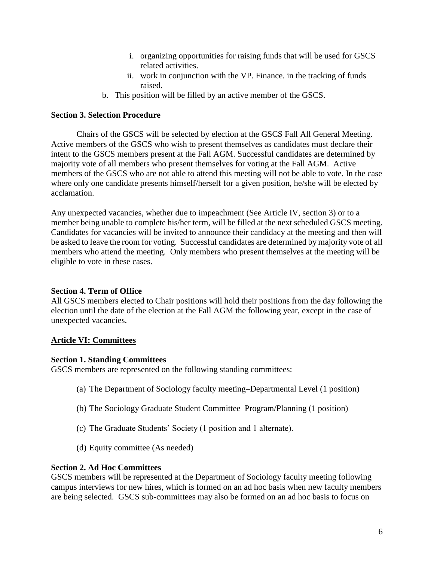- i. organizing opportunities for raising funds that will be used for GSCS related activities.
- ii. work in conjunction with the VP. Finance. in the tracking of funds raised.
- b. This position will be filled by an active member of the GSCS.

### **Section 3. Selection Procedure**

Chairs of the GSCS will be selected by election at the GSCS Fall All General Meeting. Active members of the GSCS who wish to present themselves as candidates must declare their intent to the GSCS members present at the Fall AGM. Successful candidates are determined by majority vote of all members who present themselves for voting at the Fall AGM. Active members of the GSCS who are not able to attend this meeting will not be able to vote. In the case where only one candidate presents himself/herself for a given position, he/she will be elected by acclamation.

Any unexpected vacancies, whether due to impeachment (See Article IV, section 3) or to a member being unable to complete his/her term, will be filled at the next scheduled GSCS meeting. Candidates for vacancies will be invited to announce their candidacy at the meeting and then will be asked to leave the room for voting. Successful candidates are determined by majority vote of all members who attend the meeting. Only members who present themselves at the meeting will be eligible to vote in these cases.

## **Section 4. Term of Office**

All GSCS members elected to Chair positions will hold their positions from the day following the election until the date of the election at the Fall AGM the following year, except in the case of unexpected vacancies.

## **Article VI: Committees**

#### **Section 1. Standing Committees**

GSCS members are represented on the following standing committees:

- (a) The Department of Sociology faculty meeting–Departmental Level (1 position)
- (b) The Sociology Graduate Student Committee–Program/Planning (1 position)
- (c) The Graduate Students' Society (1 position and 1 alternate).
- (d) Equity committee (As needed)

#### **Section 2. Ad Hoc Committees**

GSCS members will be represented at the Department of Sociology faculty meeting following campus interviews for new hires, which is formed on an ad hoc basis when new faculty members are being selected. GSCS sub-committees may also be formed on an ad hoc basis to focus on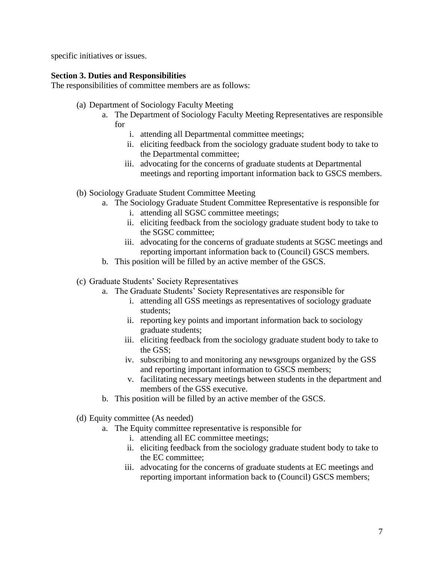specific initiatives or issues.

### **Section 3. Duties and Responsibilities**

The responsibilities of committee members are as follows:

- (a) Department of Sociology Faculty Meeting
	- a. The Department of Sociology Faculty Meeting Representatives are responsible for
		- i. attending all Departmental committee meetings;
		- ii. eliciting feedback from the sociology graduate student body to take to the Departmental committee;
		- iii. advocating for the concerns of graduate students at Departmental meetings and reporting important information back to GSCS members.
- (b) Sociology Graduate Student Committee Meeting
	- a. The Sociology Graduate Student Committee Representative is responsible for
		- i. attending all SGSC committee meetings;
		- ii. eliciting feedback from the sociology graduate student body to take to the SGSC committee;
		- iii. advocating for the concerns of graduate students at SGSC meetings and reporting important information back to (Council) GSCS members.
	- b. This position will be filled by an active member of the GSCS.
- (c) Graduate Students' Society Representatives
	- a. The Graduate Students' Society Representatives are responsible for
		- i. attending all GSS meetings as representatives of sociology graduate students;
		- ii. reporting key points and important information back to sociology graduate students;
		- iii. eliciting feedback from the sociology graduate student body to take to the GSS;
		- iv. subscribing to and monitoring any newsgroups organized by the GSS and reporting important information to GSCS members;
		- v. facilitating necessary meetings between students in the department and members of the GSS executive.
	- b. This position will be filled by an active member of the GSCS.
- (d) Equity committee (As needed)
	- a. The Equity committee representative is responsible for
		- i. attending all EC committee meetings;
		- ii. eliciting feedback from the sociology graduate student body to take to the EC committee;
		- iii. advocating for the concerns of graduate students at EC meetings and reporting important information back to (Council) GSCS members;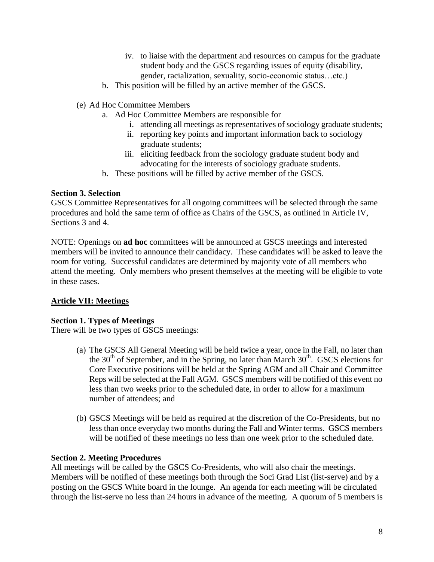- iv. to liaise with the department and resources on campus for the graduate student body and the GSCS regarding issues of equity (disability, gender, racialization, sexuality, socio-economic status…etc.)
- b. This position will be filled by an active member of the GSCS.
- (e) Ad Hoc Committee Members
	- a. Ad Hoc Committee Members are responsible for
		- i. attending all meetings as representatives of sociology graduate students;
		- ii. reporting key points and important information back to sociology graduate students;
		- iii. eliciting feedback from the sociology graduate student body and advocating for the interests of sociology graduate students.
	- b. These positions will be filled by active member of the GSCS.

#### **Section 3. Selection**

GSCS Committee Representatives for all ongoing committees will be selected through the same procedures and hold the same term of office as Chairs of the GSCS, as outlined in Article IV, Sections 3 and 4.

NOTE: Openings on **ad hoc** committees will be announced at GSCS meetings and interested members will be invited to announce their candidacy. These candidates will be asked to leave the room for voting. Successful candidates are determined by majority vote of all members who attend the meeting. Only members who present themselves at the meeting will be eligible to vote in these cases.

## **Article VII: Meetings**

#### **Section 1. Types of Meetings**

There will be two types of GSCS meetings:

- (a) The GSCS All General Meeting will be held twice a year, once in the Fall, no later than the  $30<sup>th</sup>$  of September, and in the Spring, no later than March  $30<sup>th</sup>$ . GSCS elections for Core Executive positions will be held at the Spring AGM and all Chair and Committee Reps will be selected at the Fall AGM. GSCS members will be notified of this event no less than two weeks prior to the scheduled date, in order to allow for a maximum number of attendees; and
- (b) GSCS Meetings will be held as required at the discretion of the Co-Presidents, but no less than once everyday two months during the Fall and Winter terms. GSCS members will be notified of these meetings no less than one week prior to the scheduled date.

#### **Section 2. Meeting Procedures**

All meetings will be called by the GSCS Co-Presidents, who will also chair the meetings. Members will be notified of these meetings both through the Soci Grad List (list-serve) and by a posting on the GSCS White board in the lounge. An agenda for each meeting will be circulated through the list-serve no less than 24 hours in advance of the meeting. A quorum of 5 members is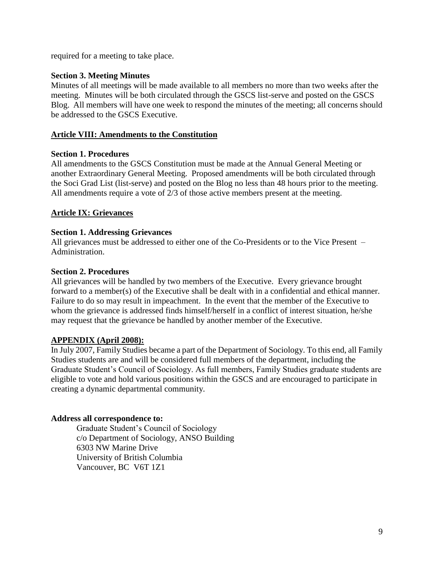required for a meeting to take place.

### **Section 3. Meeting Minutes**

Minutes of all meetings will be made available to all members no more than two weeks after the meeting. Minutes will be both circulated through the GSCS list-serve and posted on the GSCS Blog. All members will have one week to respond the minutes of the meeting; all concerns should be addressed to the GSCS Executive.

### **Article VIII: Amendments to the Constitution**

#### **Section 1. Procedures**

All amendments to the GSCS Constitution must be made at the Annual General Meeting or another Extraordinary General Meeting. Proposed amendments will be both circulated through the Soci Grad List (list-serve) and posted on the Blog no less than 48 hours prior to the meeting. All amendments require a vote of 2/3 of those active members present at the meeting.

### **Article IX: Grievances**

#### **Section 1. Addressing Grievances**

All grievances must be addressed to either one of the Co-Presidents or to the Vice Present – Administration.

#### **Section 2. Procedures**

All grievances will be handled by two members of the Executive. Every grievance brought forward to a member(s) of the Executive shall be dealt with in a confidential and ethical manner. Failure to do so may result in impeachment. In the event that the member of the Executive to whom the grievance is addressed finds himself/herself in a conflict of interest situation, he/she may request that the grievance be handled by another member of the Executive.

# **APPENDIX (April 2008):**

In July 2007, Family Studies became a part of the Department of Sociology. To this end, all Family Studies students are and will be considered full members of the department, including the Graduate Student's Council of Sociology. As full members, Family Studies graduate students are eligible to vote and hold various positions within the GSCS and are encouraged to participate in creating a dynamic departmental community.

#### **Address all correspondence to:**

Graduate Student's Council of Sociology c/o Department of Sociology, ANSO Building 6303 NW Marine Drive University of British Columbia Vancouver, BC V6T 1Z1